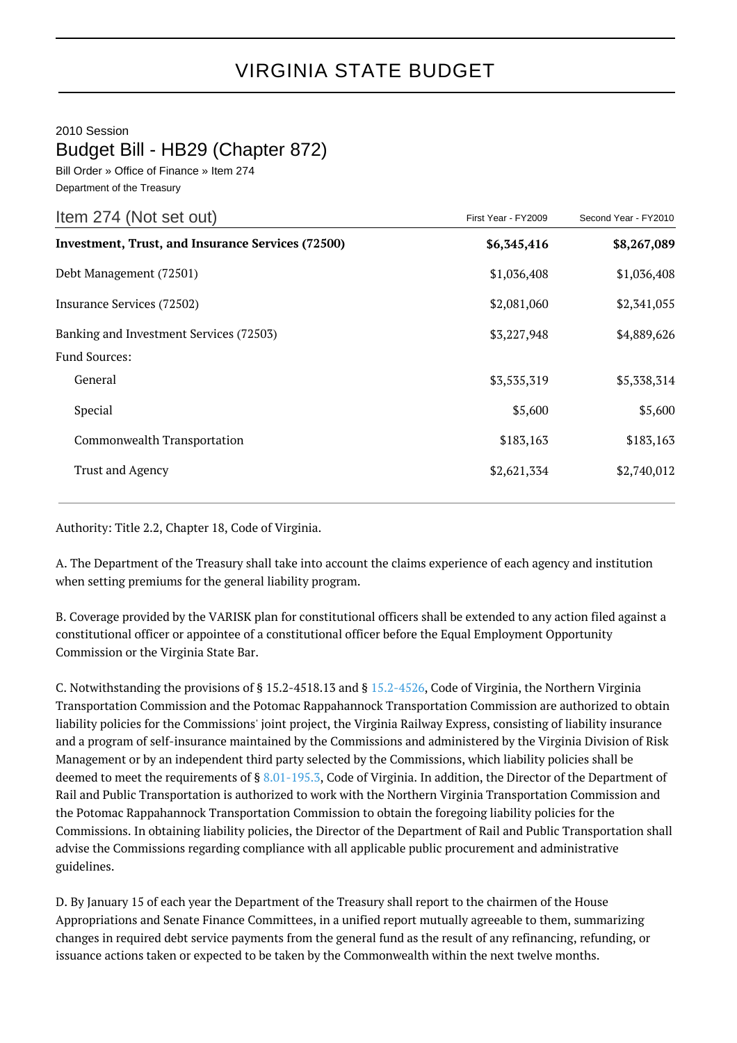## VIRGINIA STATE BUDGET

## 2010 Session

## Budget Bill - HB29 (Chapter 872)

Bill Order » Office of Finance » Item 274 Department of the Treasury

| First Year - FY2009 | Second Year - FY2010 |
|---------------------|----------------------|
| \$6,345,416         | \$8,267,089          |
| \$1,036,408         | \$1,036,408          |
| \$2,081,060         | \$2,341,055          |
| \$3,227,948         | \$4,889,626          |
|                     |                      |
| \$3,535,319         | \$5,338,314          |
| \$5,600             | \$5,600              |
| \$183,163           | \$183,163            |
| \$2,621,334         | \$2,740,012          |
|                     |                      |

Authority: Title 2.2, Chapter 18, Code of Virginia.

A. The Department of the Treasury shall take into account the claims experience of each agency and institution when setting premiums for the general liability program.

B. Coverage provided by the VARISK plan for constitutional officers shall be extended to any action filed against a constitutional officer or appointee of a constitutional officer before the Equal Employment Opportunity Commission or the Virginia State Bar.

C. Notwithstanding the provisions of § 15.2-4518.13 and § [15.2-4526,](http://law.lis.virginia.gov/vacode/15.2-4526/) Code of Virginia, the Northern Virginia Transportation Commission and the Potomac Rappahannock Transportation Commission are authorized to obtain liability policies for the Commissions' joint project, the Virginia Railway Express, consisting of liability insurance and a program of self-insurance maintained by the Commissions and administered by the Virginia Division of Risk Management or by an independent third party selected by the Commissions, which liability policies shall be deemed to meet the requirements of § [8.01-195.3,](http://law.lis.virginia.gov/vacode/8.01-195.3/) Code of Virginia. In addition, the Director of the Department of Rail and Public Transportation is authorized to work with the Northern Virginia Transportation Commission and the Potomac Rappahannock Transportation Commission to obtain the foregoing liability policies for the Commissions. In obtaining liability policies, the Director of the Department of Rail and Public Transportation shall advise the Commissions regarding compliance with all applicable public procurement and administrative guidelines.

D. By January 15 of each year the Department of the Treasury shall report to the chairmen of the House Appropriations and Senate Finance Committees, in a unified report mutually agreeable to them, summarizing changes in required debt service payments from the general fund as the result of any refinancing, refunding, or issuance actions taken or expected to be taken by the Commonwealth within the next twelve months.